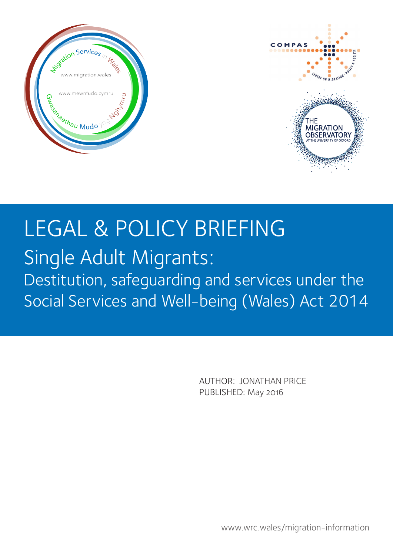



# LEGAL & POLICY BRIEFING

# Single Adult Migrants: Destitution, safeguarding and services under the Social Services and Well-being (Wales) Act 2014

AUTHOR: JONATHAN PRICE PUBLISHED: May 2016

www.wrc.wales/migration-information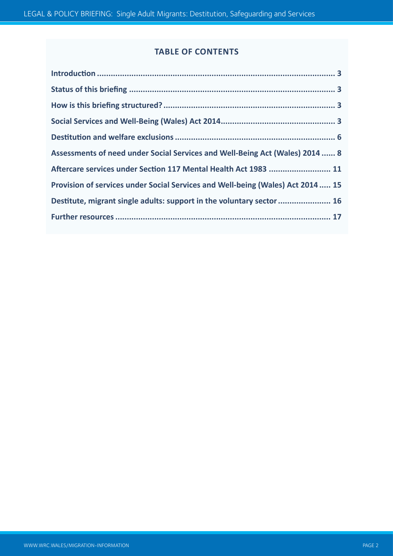# **TABLE OF CONTENTS**

| Assessments of need under Social Services and Well-Being Act (Wales) 2014  8    |
|---------------------------------------------------------------------------------|
| Aftercare services under Section 117 Mental Health Act 1983  11                 |
| Provision of services under Social Services and Well-being (Wales) Act 2014  15 |
| Destitute, migrant single adults: support in the voluntary sector  16           |
|                                                                                 |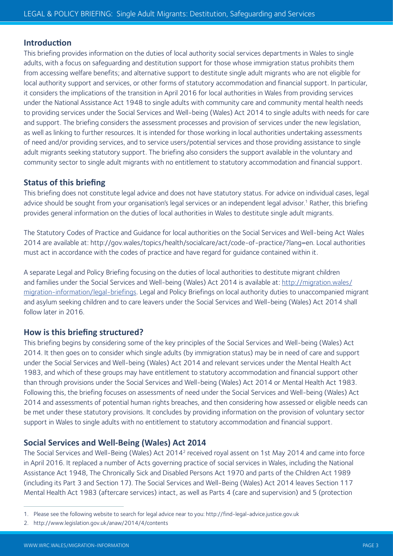## **Introduction**

This briefing provides information on the duties of local authority social services departments in Wales to single adults, with a focus on safeguarding and destitution support for those whose immigration status prohibits them from accessing welfare benefits; and alternative support to destitute single adult migrants who are not eligible for local authority support and services, or other forms of statutory accommodation and financial support. In particular, it considers the implications of the transition in April 2016 for local authorities in Wales from providing services under the National Assistance Act 1948 to single adults with community care and community mental health needs to providing services under the Social Services and Well-being (Wales) Act 2014 to single adults with needs for care and support. The briefing considers the assessment processes and provision of services under the new legislation, as well as linking to further resources. It is intended for those working in local authorities undertaking assessments of need and/or providing services, and to service users/potential services and those providing assistance to single adult migrants seeking statutory support. The briefing also considers the support available in the voluntary and community sector to single adult migrants with no entitlement to statutory accommodation and financial support.

# **Status of this briefing**

This briefing does not constitute legal advice and does not have statutory status. For advice on individual cases, legal advice should be sought from your organisation's legal services or an independent legal advisor.<sup>1</sup> Rather, this briefing provides general information on the duties of local authorities in Wales to destitute single adult migrants.

The Statutory Codes of Practice and Guidance for local authorities on the Social Services and Well-being Act Wales 2014 are available at: http://gov.wales/topics/health/socialcare/act/code-of-practice/?lang=en. Local authorities must act in accordance with the codes of practice and have regard for guidance contained within it.

A separate Legal and Policy Briefing focusing on the duties of local authorities to destitute migrant children and families under the Social Services and Well-being (Wales) Act 2014 is available at: http://migration.wales/ migration-information/legal-briefings. Legal and Policy Briefings on local authority duties to unaccompanied migrant and asylum seeking children and to care leavers under the Social Services and Well-being (Wales) Act 2014 shall follow later in 2016.

# **How is this briefing structured?**

This briefing begins by considering some of the key principles of the Social Services and Well-being (Wales) Act 2014. It then goes on to consider which single adults (by immigration status) may be in need of care and support under the Social Services and Well-being (Wales) Act 2014 and relevant services under the Mental Health Act 1983, and which of these groups may have entitlement to statutory accommodation and financial support other than through provisions under the Social Services and Well-being (Wales) Act 2014 or Mental Health Act 1983. Following this, the briefing focuses on assessments of need under the Social Services and Well-being (Wales) Act 2014 and assessments of potential human rights breaches, and then considering how assessed or eligible needs can be met under these statutory provisions. It concludes by providing information on the provision of voluntary sector support in Wales to single adults with no entitlement to statutory accommodation and financial support.

# **Social Services and Well-Being (Wales) Act 2014**

The Social Services and Well-Being (Wales) Act 20142 received royal assent on 1st May 2014 and came into force in April 2016. It replaced a number of Acts governing practice of social services in Wales, including the National Assistance Act 1948, The Chronically Sick and Disabled Persons Act 1970 and parts of the Children Act 1989 (including its Part 3 and Section 17). The Social Services and Well-Being (Wales) Act 2014 leaves Section 117 Mental Health Act 1983 (aftercare services) intact, as well as Parts 4 (care and supervision) and 5 (protection

<sup>1.</sup> Please see the following website to search for legal advice near to you: http://find-legal-advice.justice.gov.uk

<sup>2.</sup> http://www.legislation.gov.uk/anaw/2014/4/contents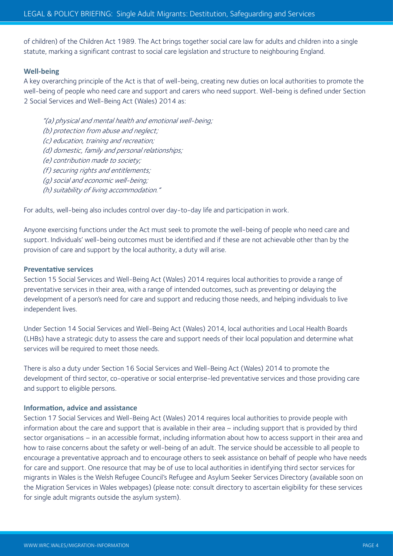of children) of the Children Act 1989. The Act brings together social care law for adults and children into a single statute, marking a significant contrast to social care legislation and structure to neighbouring England.

#### **Well-being**

A key overarching principle of the Act is that of well-being, creating new duties on local authorities to promote the well-being of people who need care and support and carers who need support. Well-being is defined under Section 2 Social Services and Well-Being Act (Wales) 2014 as:

"(a) physical and mental health and emotional well-being; (b) protection from abuse and neglect; (c) education, training and recreation; (d) domestic, family and personal relationships; (e) contribution made to society; (f) securing rights and entitlements; (g) social and economic well-being; (h) suitability of living accommodation."

For adults, well-being also includes control over day-to-day life and participation in work.

Anyone exercising functions under the Act must seek to promote the well-being of people who need care and support. Individuals' well-being outcomes must be identified and if these are not achievable other than by the provision of care and support by the local authority, a duty will arise.

#### **Preventative services**

Section 15 Social Services and Well-Being Act (Wales) 2014 requires local authorities to provide a range of preventative services in their area, with a range of intended outcomes, such as preventing or delaying the development of a person's need for care and support and reducing those needs, and helping individuals to live independent lives.

Under Section 14 Social Services and Well-Being Act (Wales) 2014, local authorities and Local Health Boards (LHBs) have a strategic duty to assess the care and support needs of their local population and determine what services will be required to meet those needs.

There is also a duty under Section 16 Social Services and Well-Being Act (Wales) 2014 to promote the development of third sector, co-operative or social enterprise-led preventative services and those providing care and support to eligible persons.

#### **Information, advice and assistance**

Section 17 Social Services and Well-Being Act (Wales) 2014 requires local authorities to provide people with information about the care and support that is available in their area – including support that is provided by third sector organisations – in an accessible format, including information about how to access support in their area and how to raise concerns about the safety or well-being of an adult. The service should be accessible to all people to encourage a preventative approach and to encourage others to seek assistance on behalf of people who have needs for care and support. One resource that may be of use to local authorities in identifying third sector services for migrants in Wales is the Welsh Refugee Council's Refugee and Asylum Seeker Services Directory (available soon on the Migration Services in Wales webpages) (please note: consult directory to ascertain eligibility for these services for single adult migrants outside the asylum system).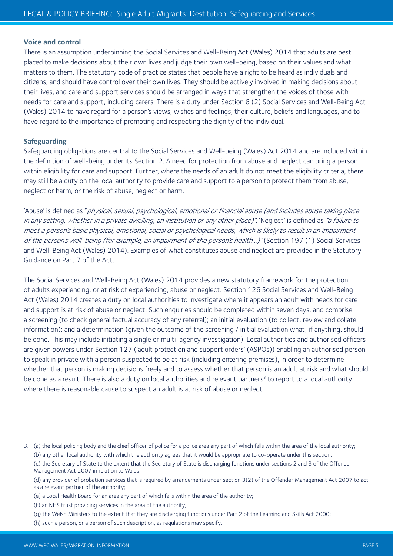#### **Voice and control**

There is an assumption underpinning the Social Services and Well-Being Act (Wales) 2014 that adults are best placed to make decisions about their own lives and judge their own well-being, based on their values and what matters to them. The statutory code of practice states that people have a right to be heard as individuals and citizens, and should have control over their own lives. They should be actively involved in making decisions about their lives, and care and support services should be arranged in ways that strengthen the voices of those with needs for care and support, including carers. There is a duty under Section 6 (2) Social Services and Well-Being Act (Wales) 2014 to have regard for a person's views, wishes and feelings, their culture, beliefs and languages, and to have regard to the importance of promoting and respecting the dignity of the individual.

#### **Safeguarding**

Safeguarding obligations are central to the Social Services and Well-being (Wales) Act 2014 and are included within the definition of well-being under its Section 2. A need for protection from abuse and neglect can bring a person within eligibility for care and support. Further, where the needs of an adult do not meet the eligibility criteria, there may still be a duty on the local authority to provide care and support to a person to protect them from abuse, neglect or harm, or the risk of abuse, neglect or harm.

'Abuse' is defined as "physical, sexual, psychological, emotional or financial abuse (and includes abuse taking place in any setting, whether in a private dwelling, an institution or any other place)". 'Neglect' is defined as "a failure to meet a person's basic physical, emotional, social or psychological needs, which is likely to result in an impairment of the person's well-being (for example, an impairment of the person's health...)" (Section 197 (1) Social Services and Well-Being Act (Wales) 2014). Examples of what constitutes abuse and neglect are provided in the Statutory Guidance on Part 7 of the Act.

The Social Services and Well-Being Act (Wales) 2014 provides a new statutory framework for the protection of adults experiencing, or at risk of experiencing, abuse or neglect. Section 126 Social Services and Well-Being Act (Wales) 2014 creates a duty on local authorities to investigate where it appears an adult with needs for care and support is at risk of abuse or neglect. Such enquiries should be completed within seven days, and comprise a screening (to check general factual accuracy of any referral); an initial evaluation (to collect, review and collate information); and a determination (given the outcome of the screening / initial evaluation what, if anything, should be done. This may include initiating a single or multi-agency investigation). Local authorities and authorised officers are given powers under Section 127 ('adult protection and support orders' (ASPOs)) enabling an authorised person to speak in private with a person suspected to be at risk (including entering premises), in order to determine whether that person is making decisions freely and to assess whether that person is an adult at risk and what should be done as a result. There is also a duty on local authorities and relevant partners<sup>3</sup> to report to a local authority where there is reasonable cause to suspect an adult is at risk of abuse or neglect.

<sup>3.</sup> (a) the local policing body and the chief officer of police for a police area any part of which falls within the area of the local authority;

<sup>(</sup>b) any other local authority with which the authority agrees that it would be appropriate to co-operate under this section; (c) the Secretary of State to the extent that the Secretary of State is discharging functions under sections 2 and 3 of the Offender Management Act 2007 in relation to Wales;

<sup>(</sup>d) any provider of probation services that is required by arrangements under section 3(2) of the Offender Management Act 2007 to act as a relevant partner of the authority;

<sup>(</sup>e) a Local Health Board for an area any part of which falls within the area of the authority;

<sup>(</sup>f) an NHS trust providing services in the area of the authority;

<sup>(</sup>g) the Welsh Ministers to the extent that they are discharging functions under Part 2 of the Learning and Skills Act 2000;

<sup>(</sup>h) such a person, or a person of such description, as regulations may specify.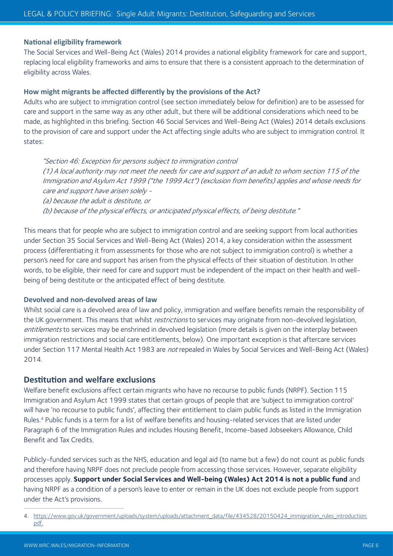#### **National eligibility framework**

The Social Services and Well-Being Act (Wales) 2014 provides a national eligibility framework for care and support, replacing local eligibility frameworks and aims to ensure that there is a consistent approach to the determination of eligibility across Wales.

#### **How might migrants be affected differently by the provisions of the Act?**

Adults who are subject to immigration control (see section immediately below for definition) are to be assessed for care and support in the same way as any other adult, but there will be additional considerations which need to be made, as highlighted in this briefing. Section 46 Social Services and Well-Being Act (Wales) 2014 details exclusions to the provision of care and support under the Act affecting single adults who are subject to immigration control. It states:

"Section 46: Exception for persons subject to immigration control (1) A local authority may not meet the needs for care and support of an adult to whom section 115 of the Immigration and Asylum Act 1999 ("the 1999 Act") (exclusion from benefits) applies and whose needs for care and support have arisen solely -

(a) because the adult is destitute, or (b) because of the physical effects, or anticipated physical effects, of being destitute."

This means that for people who are subject to immigration control and are seeking support from local authorities under Section 35 Social Services and Well-Being Act (Wales) 2014, a key consideration within the assessment process (differentiating it from assessments for those who are not subject to immigration control) is whether a person's need for care and support has arisen from the physical effects of their situation of destitution. In other words, to be eligible, their need for care and support must be independent of the impact on their health and wellbeing of being destitute or the anticipated effect of being destitute.

#### **Devolved and non-devolved areas of law**

Whilst social care is a devolved area of law and policy, immigration and welfare benefits remain the responsibility of the UK government. This means that whilst *restrictions* to services may originate from non-devolved legislation, entitlements to services may be enshrined in devolved legislation (more details is given on the interplay between immigration restrictions and social care entitlements, below). One important exception is that aftercare services under Section 117 Mental Health Act 1983 are not repealed in Wales by Social Services and Well-Being Act (Wales) 2014.

# **Destitution and welfare exclusions**

Welfare benefit exclusions affect certain migrants who have no recourse to public funds (NRPF). Section 115 Immigration and Asylum Act 1999 states that certain groups of people that are 'subject to immigration control' will have 'no recourse to public funds', affecting their entitlement to claim public funds as listed in the Immigration Rules.4 Public funds is a term for a list of welfare benefits and housing-related services that are listed under Paragraph 6 of the Immigration Rules and includes Housing Benefit, Income-based Jobseekers Allowance, Child Benefit and Tax Credits.

Publicly-funded services such as the NHS, education and legal aid (to name but a few) do not count as public funds and therefore having NRPF does not preclude people from accessing those services. However, separate eligibility processes apply. **Support under Social Services and Well-being (Wales) Act 2014 is not a public fund** and having NRPF as a condition of a person's leave to enter or remain in the UK does not exclude people from support under the Act's provisions.

<sup>4.</sup> https://www.gov.uk/government/uploads/system/uploads/attachment\_data/file/434528/20150424\_immigration\_rules\_introduction. pdf.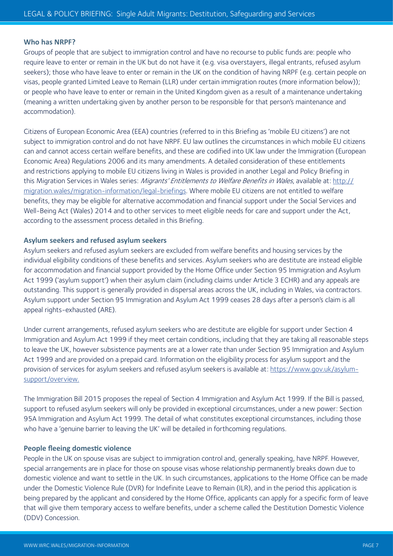#### **Who has NRPF?**

Groups of people that are subject to immigration control and have no recourse to public funds are: people who require leave to enter or remain in the UK but do not have it (e.g. visa overstayers, illegal entrants, refused asylum seekers); those who have leave to enter or remain in the UK on the condition of having NRPF (e.g. certain people on visas, people granted Limited Leave to Remain (LLR) under certain immigration routes (more information below)); or people who have leave to enter or remain in the United Kingdom given as a result of a maintenance undertaking (meaning a written undertaking given by another person to be responsible for that person's maintenance and accommodation).

Citizens of European Economic Area (EEA) countries (referred to in this Briefing as 'mobile EU citizens') are not subject to immigration control and do not have NRPF. EU law outlines the circumstances in which mobile EU citizens can and cannot access certain welfare benefits, and these are codified into UK law under the Immigration (European Economic Area) Regulations 2006 and its many amendments. A detailed consideration of these entitlements and restrictions applying to mobile EU citizens living in Wales is provided in another Legal and Policy Briefing in this Migration Services in Wales series: *Migrants' Entitlements to Welfare Benefits in Wales*, available at: http:// migration.wales/migration-information/legal-briefings. Where mobile EU citizens are not entitled to welfare benefits, they may be eligible for alternative accommodation and financial support under the Social Services and Well-Being Act (Wales) 2014 and to other services to meet eligible needs for care and support under the Act, according to the assessment process detailed in this Briefing.

#### **Asylum seekers and refused asylum seekers**

Asylum seekers and refused asylum seekers are excluded from welfare benefits and housing services by the individual eligibility conditions of these benefits and services. Asylum seekers who are destitute are instead eligible for accommodation and financial support provided by the Home Office under Section 95 Immigration and Asylum Act 1999 ('asylum support') when their asylum claim (including claims under Article 3 ECHR) and any appeals are outstanding. This support is generally provided in dispersal areas across the UK, including in Wales, via contractors. Asylum support under Section 95 Immigration and Asylum Act 1999 ceases 28 days after a person's claim is all appeal rights-exhausted (ARE).

Under current arrangements, refused asylum seekers who are destitute are eligible for support under Section 4 Immigration and Asylum Act 1999 if they meet certain conditions, including that they are taking all reasonable steps to leave the UK, however subsistence payments are at a lower rate than under Section 95 Immigration and Asylum Act 1999 and are provided on a prepaid card. Information on the eligibility process for asylum support and the provision of services for asylum seekers and refused asylum seekers is available at: https://www.gov.uk/asylumsupport/overview.

The Immigration Bill 2015 proposes the repeal of Section 4 Immigration and Asylum Act 1999. If the Bill is passed, support to refused asylum seekers will only be provided in exceptional circumstances, under a new power: Section 95A Immigration and Asylum Act 1999. The detail of what constitutes exceptional circumstances, including those who have a 'genuine barrier to leaving the UK' will be detailed in forthcoming regulations.

#### **People fleeing domestic violence**

People in the UK on spouse visas are subject to immigration control and, generally speaking, have NRPF. However, special arrangements are in place for those on spouse visas whose relationship permanently breaks down due to domestic violence and want to settle in the UK. In such circumstances, applications to the Home Office can be made under the Domestic Violence Rule (DVR) for Indefinite Leave to Remain (ILR), and in the period this application is being prepared by the applicant and considered by the Home Office, applicants can apply for a specific form of leave that will give them temporary access to welfare benefits, under a scheme called the Destitution Domestic Violence (DDV) Concession.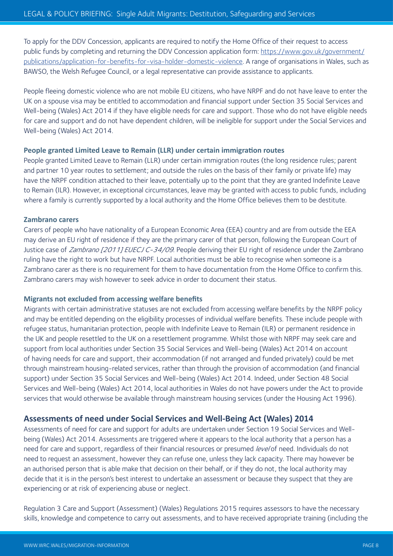To apply for the DDV Concession, applicants are required to notify the Home Office of their request to access public funds by completing and returning the DDV Concession application form: https://www.gov.uk/government/ publications/application-for-benefits-for-visa-holder-domestic-violence. A range of organisations in Wales, such as BAWSO, the Welsh Refugee Council, or a legal representative can provide assistance to applicants.

People fleeing domestic violence who are not mobile EU citizens, who have NRPF and do not have leave to enter the UK on a spouse visa may be entitled to accommodation and financial support under Section 35 Social Services and Well-being (Wales) Act 2014 if they have eligible needs for care and support. Those who do not have eligible needs for care and support and do not have dependent children, will be ineligible for support under the Social Services and Well-being (Wales) Act 2014.

#### **People granted Limited Leave to Remain (LLR) under certain immigration routes**

People granted Limited Leave to Remain (LLR) under certain immigration routes (the long residence rules; parent and partner 10 year routes to settlement; and outside the rules on the basis of their family or private life) may have the NRPF condition attached to their leave, potentially up to the point that they are granted Indefinite Leave to Remain (ILR). However, in exceptional circumstances, leave may be granted with access to public funds, including where a family is currently supported by a local authority and the Home Office believes them to be destitute.

#### **Zambrano carers**

Carers of people who have nationality of a European Economic Area (EEA) country and are from outside the EEA may derive an EU right of residence if they are the primary carer of that person, following the European Court of Justice case of *Zambrano [2011] EUECJ C-34/09*. People deriving their EU right of residence under the Zambrano ruling have the right to work but have NRPF. Local authorities must be able to recognise when someone is a Zambrano carer as there is no requirement for them to have documentation from the Home Office to confirm this. Zambrano carers may wish however to seek advice in order to document their status.

#### **Migrants not excluded from accessing welfare benefits**

Migrants with certain administrative statuses are not excluded from accessing welfare benefits by the NRPF policy and may be entitled depending on the eligibility processes of individual welfare benefits. These include people with refugee status, humanitarian protection, people with Indefinite Leave to Remain (ILR) or permanent residence in the UK and people resettled to the UK on a resettlement programme. Whilst those with NRPF may seek care and support from local authorities under Section 35 Social Services and Well-being (Wales) Act 2014 on account of having needs for care and support, their accommodation (if not arranged and funded privately) could be met through mainstream housing-related services, rather than through the provision of accommodation (and financial support) under Section 35 Social Services and Well-being (Wales) Act 2014. Indeed, under Section 48 Social Services and Well-being (Wales) Act 2014, local authorities in Wales do not have powers under the Act to provide services that would otherwise be available through mainstream housing services (under the Housing Act 1996).

#### **Assessments of need under Social Services and Well-Being Act (Wales) 2014**

Assessments of need for care and support for adults are undertaken under Section 19 Social Services and Wellbeing (Wales) Act 2014. Assessments are triggered where it appears to the local authority that a person has a need for care and support, regardless of their financial resources or presumed level of need. Individuals do not need to request an assessment, however they can refuse one, unless they lack capacity. There may however be an authorised person that is able make that decision on their behalf, or if they do not, the local authority may decide that it is in the person's best interest to undertake an assessment or because they suspect that they are experiencing or at risk of experiencing abuse or neglect.

Regulation 3 Care and Support (Assessment) (Wales) Regulations 2015 requires assessors to have the necessary skills, knowledge and competence to carry out assessments, and to have received appropriate training (including the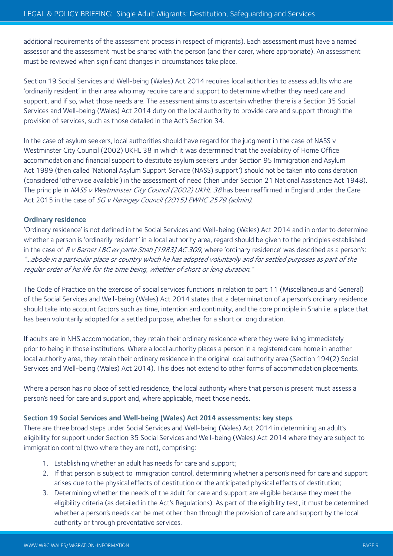additional requirements of the assessment process in respect of migrants). Each assessment must have a named assessor and the assessment must be shared with the person (and their carer, where appropriate). An assessment must be reviewed when significant changes in circumstances take place.

Section 19 Social Services and Well-being (Wales) Act 2014 requires local authorities to assess adults who are 'ordinarily resident' in their area who may require care and support to determine whether they need care and support, and if so, what those needs are. The assessment aims to ascertain whether there is a Section 35 Social Services and Well-being (Wales) Act 2014 duty on the local authority to provide care and support through the provision of services, such as those detailed in the Act's Section 34.

In the case of asylum seekers, local authorities should have regard for the judgment in the case of NASS v Westminster City Council (2002) UKHL 38 in which it was determined that the availability of Home Office accommodation and financial support to destitute asylum seekers under Section 95 Immigration and Asylum Act 1999 (then called 'National Asylum Support Service (NASS) support') should not be taken into consideration (considered 'otherwise available') in the assessment of need (then under Section 21 National Assistance Act 1948). The principle in NASS v Westminster City Council (2002) UKHL 38 has been reaffirmed in England under the Care Act 2015 in the case of SG v Haringey Council (2015) EWHC 2579 (admin).

#### **Ordinary residence**

'Ordinary residence' is not defined in the Social Services and Well-being (Wales) Act 2014 and in order to determine whether a person is 'ordinarily resident' in a local authority area, regard should be given to the principles established in the case of R v Barnet LBC ex parte Shah [1983] AC 309, where 'ordinary residence' was described as a person's: "…abode in a particular place or country which he has adopted voluntarily and for settled purposes as part of the regular order of his life for the time being, whether of short or long duration."

The Code of Practice on the exercise of social services functions in relation to part 11 (Miscellaneous and General) of the Social Services and Well-being (Wales) Act 2014 states that a determination of a person's ordinary residence should take into account factors such as time, intention and continuity, and the core principle in Shah i.e. a place that has been voluntarily adopted for a settled purpose, whether for a short or long duration.

If adults are in NHS accommodation, they retain their ordinary residence where they were living immediately prior to being in those institutions. Where a local authority places a person in a registered care home in another local authority area, they retain their ordinary residence in the original local authority area (Section 194(2) Social Services and Well-being (Wales) Act 2014). This does not extend to other forms of accommodation placements.

Where a person has no place of settled residence, the local authority where that person is present must assess a person's need for care and support and, where applicable, meet those needs.

#### **Section 19 Social Services and Well-being (Wales) Act 2014 assessments: key steps**

There are three broad steps under Social Services and Well-being (Wales) Act 2014 in determining an adult's eligibility for support under Section 35 Social Services and Well-being (Wales) Act 2014 where they are subject to immigration control (two where they are not), comprising:

- 1. Establishing whether an adult has needs for care and support;
- 2. If that person is subject to immigration control, determining whether a person's need for care and support arises due to the physical effects of destitution or the anticipated physical effects of destitution;
- 3. Determining whether the needs of the adult for care and support are eligible because they meet the eligibility criteria (as detailed in the Act's Regulations). As part of the eligibility test, it must be determined whether a person's needs can be met other than through the provision of care and support by the local authority or through preventative services.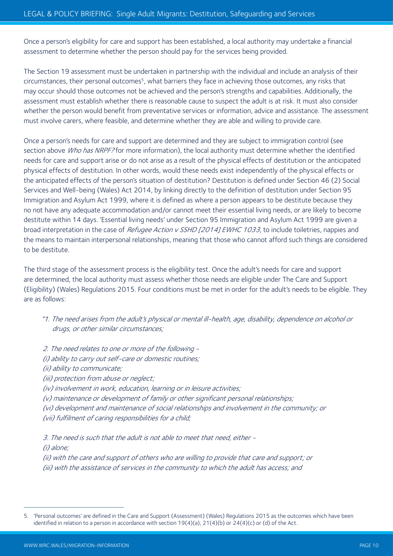Once a person's eligibility for care and support has been established, a local authority may undertake a financial assessment to determine whether the person should pay for the services being provided.

The Section 19 assessment must be undertaken in partnership with the individual and include an analysis of their circumstances, their personal outcomes<sup>5</sup>, what barriers they face in achieving those outcomes, any risks that may occur should those outcomes not be achieved and the person's strengths and capabilities. Additionally, the assessment must establish whether there is reasonable cause to suspect the adult is at risk. It must also consider whether the person would benefit from preventative services or information, advice and assistance. The assessment must involve carers, where feasible, and determine whether they are able and willing to provide care.

Once a person's needs for care and support are determined and they are subject to immigration control (see section above Who has NRPF? for more information), the local authority must determine whether the identified needs for care and support arise or do not arise as a result of the physical effects of destitution or the anticipated physical effects of destitution. In other words, would these needs exist independently of the physical effects or the anticipated effects of the person's situation of destitution? Destitution is defined under Section 46 (2) Social Services and Well-being (Wales) Act 2014, by linking directly to the definition of destitution under Section 95 Immigration and Asylum Act 1999, where it is defined as where a person appears to be destitute because they no not have any adequate accommodation and/or cannot meet their essential living needs, or are likely to become destitute within 14 days. 'Essential living needs' under Section 95 Immigration and Asylum Act 1999 are given a broad interpretation in the case of Refugee Action v SSHD [2014] EWHC 1033, to include toiletries, nappies and the means to maintain interpersonal relationships, meaning that those who cannot afford such things are considered to be destitute.

The third stage of the assessment process is the eligibility test. Once the adult's needs for care and support are determined, the local authority must assess whether those needs are eligible under The Care and Support (Eligibility) (Wales) Regulations 2015. Four conditions must be met in order for the adult's needs to be eligible. They are as follows:

- "1. The need arises from the adult's physical or mental ill-health, age, disability, dependence on alcohol or drugs, or other similar circumstances;
- 2. The need relates to one or more of the following (i) ability to carry out self-care or domestic routines; (ii) ability to communicate; (iii) protection from abuse or neglect; (iv) involvement in work, education, learning or in leisure activities; (v) maintenance or development of family or other significant personal relationships; (vi) development and maintenance of social relationships and involvement in the community; or (vii) fulfilment of caring responsibilities for a child;

3. The need is such that the adult is not able to meet that need, either -

(i) alone;

(ii) with the care and support of others who are willing to provide that care and support; or (iii) with the assistance of services in the community to which the adult has access; and

<sup>5.</sup> 'Personal outcomes' are defined in the Care and Support (Assessment) (Wales) Regulations 2015 as the outcomes which have been identified in relation to a person in accordance with section 19(4)(a), 21(4)(b) or 24(4)(c) or (d) of the Act.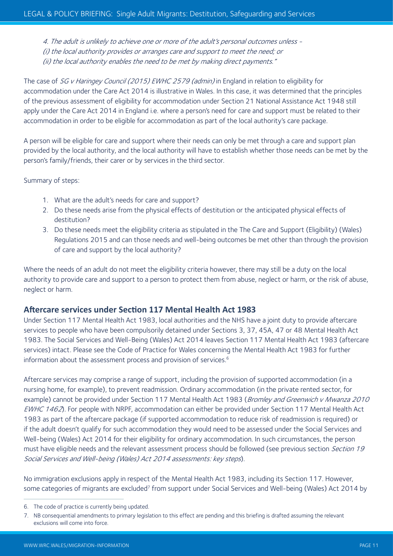4. The adult is unlikely to achieve one or more of the adult's personal outcomes unless - (i) the local authority provides or arranges care and support to meet the need; or (ii) the local authority enables the need to be met by making direct payments."

The case of SG v Haringey Council (2015) EWHC 2579 (admin) in England in relation to eligibility for accommodation under the Care Act 2014 is illustrative in Wales. In this case, it was determined that the principles of the previous assessment of eligibility for accommodation under Section 21 National Assistance Act 1948 still apply under the Care Act 2014 in England i.e. where a person's need for care and support must be related to their accommodation in order to be eligible for accommodation as part of the local authority's care package.

A person will be eligible for care and support where their needs can only be met through a care and support plan provided by the local authority, and the local authority will have to establish whether those needs can be met by the person's family/friends, their carer or by services in the third sector.

Summary of steps:

- 1. What are the adult's needs for care and support?
- 2. Do these needs arise from the physical effects of destitution or the anticipated physical effects of destitution?
- 3. Do these needs meet the eligibility criteria as stipulated in the The Care and Support (Eligibility) (Wales) Regulations 2015 and can those needs and well-being outcomes be met other than through the provision of care and support by the local authority?

Where the needs of an adult do not meet the eligibility criteria however, there may still be a duty on the local authority to provide care and support to a person to protect them from abuse, neglect or harm, or the risk of abuse, neglect or harm.

#### **Aftercare services under Section 117 Mental Health Act 1983**

Under Section 117 Mental Health Act 1983, local authorities and the NHS have a joint duty to provide aftercare services to people who have been compulsorily detained under Sections 3, 37, 45A, 47 or 48 Mental Health Act 1983. The Social Services and Well-Being (Wales) Act 2014 leaves Section 117 Mental Health Act 1983 (aftercare services) intact. Please see the Code of Practice for Wales concerning the Mental Health Act 1983 for further information about the assessment process and provision of services.<sup>6</sup>

Aftercare services may comprise a range of support, including the provision of supported accommodation (in a nursing home, for example), to prevent readmission. Ordinary accommodation (in the private rented sector, for example) cannot be provided under Section 117 Mental Health Act 1983 (Bromley and Greenwich v Mwanza 2010 EWHC 1462). For people with NRPF, accommodation can either be provided under Section 117 Mental Health Act 1983 as part of the aftercare package (if supported accommodation to reduce risk of readmission is required) or if the adult doesn't qualify for such accommodation they would need to be assessed under the Social Services and Well-being (Wales) Act 2014 for their eligibility for ordinary accommodation. In such circumstances, the person must have eligible needs and the relevant assessment process should be followed (see previous section Section 19 Social Services and Well-being (Wales) Act 2014 assessments: key steps).

No immigration exclusions apply in respect of the Mental Health Act 1983, including its Section 117. However, some categories of migrants are excluded<sup>7</sup> from support under Social Services and Well-being (Wales) Act 2014 by

<sup>6.</sup> The code of practice is currently being updated.

<sup>7.</sup> NB consequential amendments to primary legislation to this effect are pending and this briefing is drafted assuming the relevant exclusions will come into force.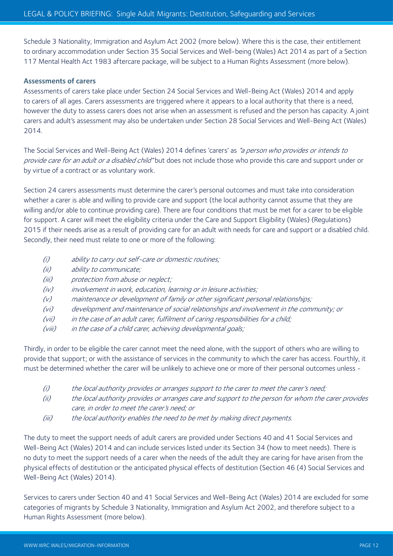Schedule 3 Nationality, Immigration and Asylum Act 2002 (more below). Where this is the case, their entitlement to ordinary accommodation under Section 35 Social Services and Well-being (Wales) Act 2014 as part of a Section 117 Mental Health Act 1983 aftercare package, will be subject to a Human Rights Assessment (more below).

#### **Assessments of carers**

Assessments of carers take place under Section 24 Social Services and Well-Being Act (Wales) 2014 and apply to carers of all ages. Carers assessments are triggered where it appears to a local authority that there is a need, however the duty to assess carers does not arise when an assessment is refused and the person has capacity. A joint carers and adult's assessment may also be undertaken under Section 28 Social Services and Well-Being Act (Wales) 2014.

The Social Services and Well-Being Act (Wales) 2014 defines 'carers' as "a person who provides or intends to provide care for an adult or a disabled child" but does not include those who provide this care and support under or by virtue of a contract or as voluntary work.

Section 24 carers assessments must determine the carer's personal outcomes and must take into consideration whether a carer is able and willing to provide care and support (the local authority cannot assume that they are willing and/or able to continue providing care). There are four conditions that must be met for a carer to be eligible for support. A carer will meet the eligibility criteria under the Care and Support Eligibility (Wales) (Regulations) 2015 if their needs arise as a result of providing care for an adult with needs for care and support or a disabled child. Secondly, their need must relate to one or more of the following:

- (i) ability to carry out self-care or domestic routines;
- (ii) ability to communicate;
- (iii) protection from abuse or neglect;
- (iv) involvement in work, education, learning or in leisure activities;
- (v) maintenance or development of family or other significant personal relationships;
- (vi) development and maintenance of social relationships and involvement in the community; or
- (vii) in the case of an adult carer, fulfilment of caring responsibilities for a child;
- (viii) in the case of a child carer, achieving developmental goals;

Thirdly, in order to be eligible the carer cannot meet the need alone, with the support of others who are willing to provide that support; or with the assistance of services in the community to which the carer has access. Fourthly, it must be determined whether the carer will be unlikely to achieve one or more of their personal outcomes unless -

- (i) the local authority provides or arranges support to the carer to meet the carer's need;
- (ii) the local authority provides or arranges care and support to the person for whom the carer provides care, in order to meet the carer's need; or
- (iii) the local authority enables the need to be met by making direct payments.

The duty to meet the support needs of adult carers are provided under Sections 40 and 41 Social Services and Well-Being Act (Wales) 2014 and can include services listed under its Section 34 (how to meet needs). There is no duty to meet the support needs of a carer when the needs of the adult they are caring for have arisen from the physical effects of destitution or the anticipated physical effects of destitution (Section 46 (4) Social Services and Well-Being Act (Wales) 2014).

Services to carers under Section 40 and 41 Social Services and Well-Being Act (Wales) 2014 are excluded for some categories of migrants by Schedule 3 Nationality, Immigration and Asylum Act 2002, and therefore subject to a Human Rights Assessment (more below).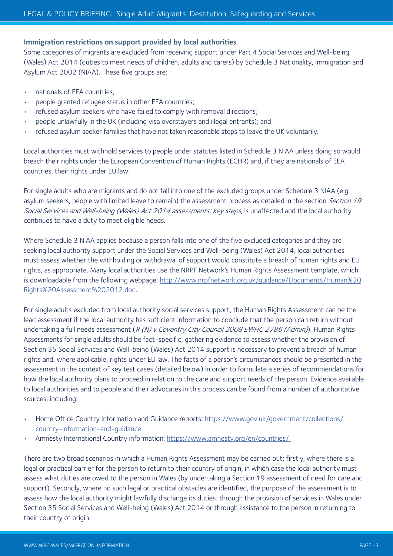#### **Immigration restrictions on support provided by local authorities**

Some categories of migrants are excluded from receiving support under Part 4 Social Services and Well-being (Wales) Act 2014 (duties to meet needs of children, adults and carers) by Schedule 3 Nationality, Immigration and Asylum Act 2002 (NIAA). These five groups are:

- nationals of EEA countries;
- people granted refugee status in other EEA countries;
- refused asylum seekers who have failed to comply with removal directions;
- people unlawfully in the UK (including visa overstayers and illegal entrants); and
- refused asylum seeker families that have not taken reasonable steps to leave the UK voluntarily.

Local authorities must withhold services to people under statutes listed in Schedule 3 NIAA unless doing so would breach their rights under the European Convention of Human Rights (ECHR) and, if they are nationals of EEA countries, their rights under EU law.

For single adults who are migrants and do not fall into one of the excluded groups under Schedule 3 NIAA (e.g. asylum seekers, people with limited leave to remain) the assessment process as detailed in the section Section 19 Social Services and Well-being (Wales) Act 2014 assessments: key steps, is unaffected and the local authority continues to have a duty to meet eligible needs.

Where Schedule 3 NIAA applies because a person falls into one of the five excluded categories and they are seeking local authority support under the Social Services and Well-being (Wales) Act 2014, local authorities must assess whether the withholding or withdrawal of support would constitute a breach of human rights and EU rights, as appropriate. Many local authorities use the NRPF Network's Human Rights Assessment template, which is downloadable from the following webpage: http://www.nrpfnetwork.org.uk/guidance/Documents/Human%20 Rights%20Assessment%202012.doc.

For single adults excluded from local authority social services support, the Human Rights Assessment can be the lead assessment if the local authority has sufficient information to conclude that the person can return without undertaking a full needs assessment (R (N) v Coventry City Council 2008 EWHC 2786 (Admin)). Human Rights Assessments for single adults should be fact-specific, gathering evidence to assess whether the provision of Section 35 Social Services and Well-being (Wales) Act 2014 support is necessary to prevent a breach of human rights and, where applicable, rights under EU law. The facts of a person's circumstances should be presented in the assessment in the context of key test cases (detailed below) in order to formulate a series of recommendations for how the local authority plans to proceed in relation to the care and support needs of the person. Evidence available to local authorities and to people and their advocates in this process can be found from a number of authoritative sources, including:

- Home Office Country Information and Guidance reports: https://www.gov.uk/government/collections/ country-information-and-guidance
- Amnesty International Country information: https://www.amnesty.org/en/countries/

There are two broad scenarios in which a Human Rights Assessment may be carried out: firstly, where there is a legal or practical barrier for the person to return to their country of origin, in which case the local authority must assess what duties are owed to the person in Wales (by undertaking a Section 19 assessment of need for care and support). Secondly, where no such legal or practical obstacles are identified, the purpose of the assessment is to assess how the local authority might lawfully discharge its duties: through the provision of services in Wales under Section 35 Social Services and Well-being (Wales) Act 2014 or through assistance to the person in returning to their country of origin.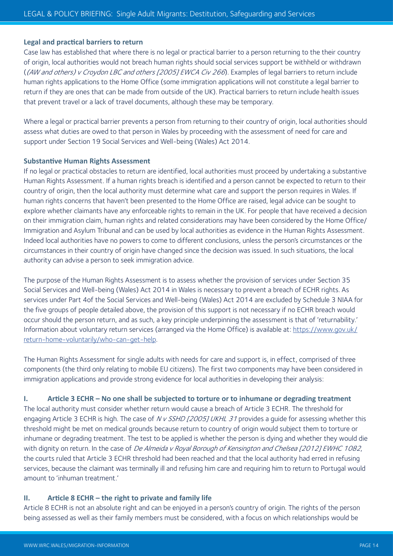#### **Legal and practical barriers to return**

Case law has established that where there is no legal or practical barrier to a person returning to the their country of origin, local authorities would not breach human rights should social services support be withheld or withdrawn ((AW and others) v Croydon LBC and others [2005] EWCA Civ 266). Examples of legal barriers to return include human rights applications to the Home Office (some immigration applications will not constitute a legal barrier to return if they are ones that can be made from outside of the UK). Practical barriers to return include health issues that prevent travel or a lack of travel documents, although these may be temporary.

Where a legal or practical barrier prevents a person from returning to their country of origin, local authorities should assess what duties are owed to that person in Wales by proceeding with the assessment of need for care and support under Section 19 Social Services and Well-being (Wales) Act 2014.

#### **Substantive Human Rights Assessment**

If no legal or practical obstacles to return are identified, local authorities must proceed by undertaking a substantive Human Rights Assessment. If a human rights breach is identified and a person cannot be expected to return to their country of origin, then the local authority must determine what care and support the person requires in Wales. If human rights concerns that haven't been presented to the Home Office are raised, legal advice can be sought to explore whether claimants have any enforceable rights to remain in the UK. For people that have received a decision on their immigration claim, human rights and related considerations may have been considered by the Home Office/ Immigration and Asylum Tribunal and can be used by local authorities as evidence in the Human Rights Assessment. Indeed local authorities have no powers to come to different conclusions, unless the person's circumstances or the circumstances in their country of origin have changed since the decision was issued. In such situations, the local authority can advise a person to seek immigration advice.

The purpose of the Human Rights Assessment is to assess whether the provision of services under Section 35 Social Services and Well-being (Wales) Act 2014 in Wales is necessary to prevent a breach of ECHR rights. As services under Part 4of the Social Services and Well-being (Wales) Act 2014 are excluded by Schedule 3 NIAA for the five groups of people detailed above, the provision of this support is not necessary if no ECHR breach would occur should the person return, and as such, a key principle underpinning the assessment is that of 'returnability.' Information about voluntary return services (arranged via the Home Office) is available at: https://www.gov.uk/ return-home-voluntarily/who-can-get-help.

The Human Rights Assessment for single adults with needs for care and support is, in effect, comprised of three components (the third only relating to mobile EU citizens). The first two components may have been considered in immigration applications and provide strong evidence for local authorities in developing their analysis:

#### **I. Article 3 ECHR – No one shall be subjected to torture or to inhumane or degrading treatment**

The local authority must consider whether return would cause a breach of Article 3 ECHR. The threshold for engaging Article 3 ECHR is high. The case of N v SSHD [2005] UKHL 31 provides a quide for assessing whether this threshold might be met on medical grounds because return to country of origin would subject them to torture or inhumane or degrading treatment. The test to be applied is whether the person is dying and whether they would die with dignity on return. In the case of De Almeida v Royal Borough of Kensington and Chelsea [2012] EWHC 1082, the courts ruled that Article 3 ECHR threshold had been reached and that the local authority had erred in refusing services, because the claimant was terminally ill and refusing him care and requiring him to return to Portugal would amount to 'inhuman treatment.'

#### **II. Article 8 ECHR – the right to private and family life**

Article 8 ECHR is not an absolute right and can be enjoyed in a person's country of origin. The rights of the person being assessed as well as their family members must be considered, with a focus on which relationships would be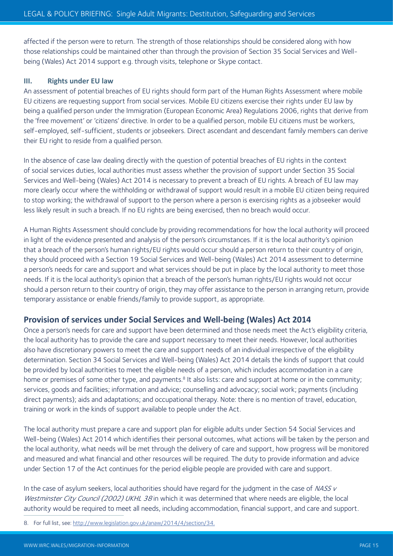affected if the person were to return. The strength of those relationships should be considered along with how those relationships could be maintained other than through the provision of Section 35 Social Services and Wellbeing (Wales) Act 2014 support e.g. through visits, telephone or Skype contact.

#### **III. Rights under EU law**

An assessment of potential breaches of EU rights should form part of the Human Rights Assessment where mobile EU citizens are requesting support from social services. Mobile EU citizens exercise their rights under EU law by being a qualified person under the Immigration (European Economic Area) Regulations 2006, rights that derive from the 'free movement' or 'citizens' directive. In order to be a qualified person, mobile EU citizens must be workers, self-employed, self-sufficient, students or jobseekers. Direct ascendant and descendant family members can derive their EU right to reside from a qualified person.

In the absence of case law dealing directly with the question of potential breaches of EU rights in the context of social services duties, local authorities must assess whether the provision of support under Section 35 Social Services and Well-being (Wales) Act 2014 is necessary to prevent a breach of EU rights. A breach of EU law may more clearly occur where the withholding or withdrawal of support would result in a mobile EU citizen being required to stop working; the withdrawal of support to the person where a person is exercising rights as a jobseeker would less likely result in such a breach. If no EU rights are being exercised, then no breach would occur.

A Human Rights Assessment should conclude by providing recommendations for how the local authority will proceed in light of the evidence presented and analysis of the person's circumstances. If it is the local authority's opinion that a breach of the person's human rights/EU rights would occur should a person return to their country of origin, they should proceed with a Section 19 Social Services and Well-being (Wales) Act 2014 assessment to determine a person's needs for care and support and what services should be put in place by the local authority to meet those needs. If it is the local authority's opinion that a breach of the person's human rights/EU rights would not occur should a person return to their country of origin, they may offer assistance to the person in arranging return, provide temporary assistance or enable friends/family to provide support, as appropriate.

# **Provision of services under Social Services and Well-being (Wales) Act 2014**

Once a person's needs for care and support have been determined and those needs meet the Act's eligibility criteria, the local authority has to provide the care and support necessary to meet their needs. However, local authorities also have discretionary powers to meet the care and support needs of an individual irrespective of the eligibility determination. Section 34 Social Services and Well-being (Wales) Act 2014 details the kinds of support that could be provided by local authorities to meet the eligible needs of a person, which includes accommodation in a care home or premises of some other type, and payments.<sup>8</sup> It also lists: care and support at home or in the community; services, goods and facilities; information and advice; counselling and advocacy; social work; payments (including direct payments); aids and adaptations; and occupational therapy. Note: there is no mention of travel, education, training or work in the kinds of support available to people under the Act.

The local authority must prepare a care and support plan for eligible adults under Section 54 Social Services and Well-being (Wales) Act 2014 which identifies their personal outcomes, what actions will be taken by the person and the local authority, what needs will be met through the delivery of care and support, how progress will be monitored and measured and what financial and other resources will be required. The duty to provide information and advice under Section 17 of the Act continues for the period eligible people are provided with care and support.

In the case of asylum seekers, local authorities should have regard for the judgment in the case of  $NASSV$ Westminster City Council (2002) UKHL 38 in which it was determined that where needs are eligible, the local authority would be required to meet all needs, including accommodation, financial support, and care and support.

8. For full list, see: http://www.legislation.gov.uk/anaw/2014/4/section/34.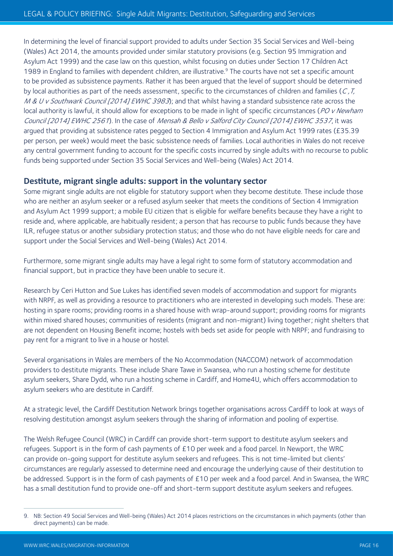In determining the level of financial support provided to adults under Section 35 Social Services and Well-being (Wales) Act 2014, the amounts provided under similar statutory provisions (e.g. Section 95 Immigration and Asylum Act 1999) and the case law on this question, whilst focusing on duties under Section 17 Children Act 1989 in England to families with dependent children, are illustrative.<sup>9</sup> The courts have not set a specific amount to be provided as subsistence payments. Rather it has been argued that the level of support should be determined by local authorities as part of the needs assessment, specific to the circumstances of children and families ( $C$ ,  $T$ , M & U v Southwark Council [2014] EWHC 3983); and that whilst having a standard subsistence rate across the local authority is lawful, it should allow for exceptions to be made in light of specific circumstances (PO v Newham Council [2014] EWHC 2561). In the case of Mensah & Bello v Salford City Council [2014] EWHC 3537, it was argued that providing at subsistence rates pegged to Section 4 Immigration and Asylum Act 1999 rates (£35.39 per person, per week) would meet the basic subsistence needs of families. Local authorities in Wales do not receive any central government funding to account for the specific costs incurred by single adults with no recourse to public funds being supported under Section 35 Social Services and Well-being (Wales) Act 2014.

# **Destitute, migrant single adults: support in the voluntary sector**

Some migrant single adults are not eligible for statutory support when they become destitute. These include those who are neither an asylum seeker or a refused asylum seeker that meets the conditions of Section 4 Immigration and Asylum Act 1999 support; a mobile EU citizen that is eligible for welfare benefits because they have a right to reside and, where applicable, are habitually resident; a person that has recourse to public funds because they have ILR, refugee status or another subsidiary protection status; and those who do not have eligible needs for care and support under the Social Services and Well-being (Wales) Act 2014.

Furthermore, some migrant single adults may have a legal right to some form of statutory accommodation and financial support, but in practice they have been unable to secure it.

Research by Ceri Hutton and Sue Lukes has identified seven models of accommodation and support for migrants with NRPF, as well as providing a resource to practitioners who are interested in developing such models. These are: hosting in spare rooms; providing rooms in a shared house with wrap-around support; providing rooms for migrants within mixed shared houses; communities of residents (migrant and non-migrant) living together; night shelters that are not dependent on Housing Benefit income; hostels with beds set aside for people with NRPF; and fundraising to pay rent for a migrant to live in a house or hostel.

Several organisations in Wales are members of the No Accommodation (NACCOM) network of accommodation providers to destitute migrants. These include Share Tawe in Swansea, who run a hosting scheme for destitute asylum seekers, Share Dydd, who run a hosting scheme in Cardiff, and Home4U, which offers accommodation to asylum seekers who are destitute in Cardiff.

At a strategic level, the Cardiff Destitution Network brings together organisations across Cardiff to look at ways of resolving destitution amongst asylum seekers through the sharing of information and pooling of expertise.

The Welsh Refugee Council (WRC) in Cardiff can provide short-term support to destitute asylum seekers and refugees. Support is in the form of cash payments of £10 per week and a food parcel. In Newport, the WRC can provide on-going support for destitute asylum seekers and refugees. This is not time-limited but clients' circumstances are regularly assessed to determine need and encourage the underlying cause of their destitution to be addressed. Support is in the form of cash payments of £10 per week and a food parcel. And in Swansea, the WRC has a small destitution fund to provide one-off and short-term support destitute asylum seekers and refugees.

<sup>9.</sup> NB: Section 49 Social Services and Well-being (Wales) Act 2014 places restrictions on the circumstances in which payments (other than direct payments) can be made.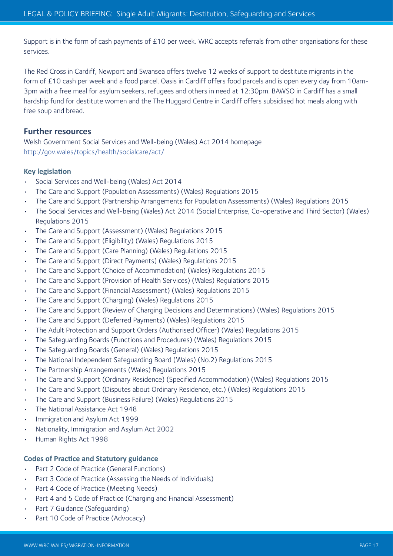Support is in the form of cash payments of £10 per week. WRC accepts referrals from other organisations for these services.

The Red Cross in Cardiff, Newport and Swansea offers twelve 12 weeks of support to destitute migrants in the form of £10 cash per week and a food parcel. Oasis in Cardiff offers food parcels and is open every day from 10am-3pm with a free meal for asylum seekers, refugees and others in need at 12:30pm. BAWSO in Cardiff has a small hardship fund for destitute women and the The Huggard Centre in Cardiff offers subsidised hot meals along with free soup and bread.

# **Further resources**

Welsh Government Social Services and Well-being (Wales) Act 2014 homepage http://gov.wales/topics/health/socialcare/act/

#### **Key legislation**

- Social Services and Well-being (Wales) Act 2014
- The Care and Support (Population Assessments) (Wales) Regulations 2015
- The Care and Support (Partnership Arrangements for Population Assessments) (Wales) Regulations 2015
- The Social Services and Well-being (Wales) Act 2014 (Social Enterprise, Co-operative and Third Sector) (Wales) Regulations 2015
- The Care and Support (Assessment) (Wales) Regulations 2015
- The Care and Support (Eligibility) (Wales) Regulations 2015
- The Care and Support (Care Planning) (Wales) Regulations 2015
- The Care and Support (Direct Payments) (Wales) Regulations 2015
- The Care and Support (Choice of Accommodation) (Wales) Regulations 2015
- The Care and Support (Provision of Health Services) (Wales) Regulations 2015
- The Care and Support (Financial Assessment) (Wales) Regulations 2015
- The Care and Support (Charging) (Wales) Regulations 2015
- The Care and Support (Review of Charging Decisions and Determinations) (Wales) Regulations 2015
- The Care and Support (Deferred Payments) (Wales) Regulations 2015
- The Adult Protection and Support Orders (Authorised Officer) (Wales) Regulations 2015
- The Safeguarding Boards (Functions and Procedures) (Wales) Regulations 2015
- The Safeguarding Boards (General) (Wales) Regulations 2015
- The National Independent Safeguarding Board (Wales) (No.2) Regulations 2015
- The Partnership Arrangements (Wales) Regulations 2015
- The Care and Support (Ordinary Residence) (Specified Accommodation) (Wales) Regulations 2015
- The Care and Support (Disputes about Ordinary Residence, etc.) (Wales) Regulations 2015
- The Care and Support (Business Failure) (Wales) Regulations 2015
- The National Assistance Act 1948
- Immigration and Asylum Act 1999
- Nationality, Immigration and Asylum Act 2002
- Human Rights Act 1998

# **Codes of Practice and Statutory guidance**

- Part 2 Code of Practice (General Functions)
- Part 3 Code of Practice (Assessing the Needs of Individuals)
- Part 4 Code of Practice (Meeting Needs)
- Part 4 and 5 Code of Practice (Charging and Financial Assessment)
- Part 7 Guidance (Safeguarding)
- Part 10 Code of Practice (Advocacy)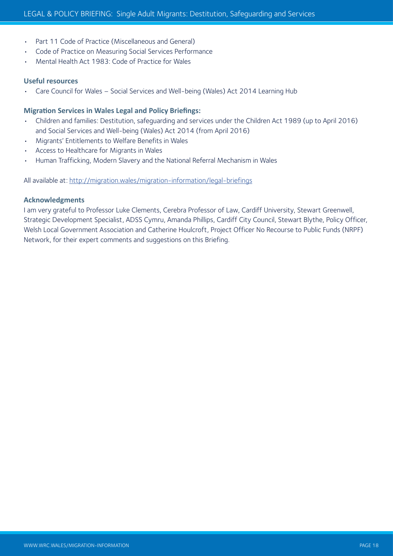- Part 11 Code of Practice (Miscellaneous and General)
- Code of Practice on Measuring Social Services Performance
- Mental Health Act 1983: Code of Practice for Wales

#### **Useful resources**

• Care Council for Wales – Social Services and Well-being (Wales) Act 2014 Learning Hub

#### **Migration Services in Wales Legal and Policy Briefings:**

- Children and families: Destitution, safeguarding and services under the Children Act 1989 (up to April 2016) and Social Services and Well-being (Wales) Act 2014 (from April 2016)
- Migrants' Entitlements to Welfare Benefits in Wales
- Access to Healthcare for Migrants in Wales
- Human Trafficking, Modern Slavery and the National Referral Mechanism in Wales

All available at: http://migration.wales/migration-information/legal-briefings

#### **Acknowledgments**

I am very grateful to Professor Luke Clements, Cerebra Professor of Law, Cardiff University, Stewart Greenwell, Strategic Development Specialist, ADSS Cymru, Amanda Phillips, Cardiff City Council, Stewart Blythe, Policy Officer, Welsh Local Government Association and Catherine Houlcroft, Project Officer No Recourse to Public Funds (NRPF) Network, for their expert comments and suggestions on this Briefing.